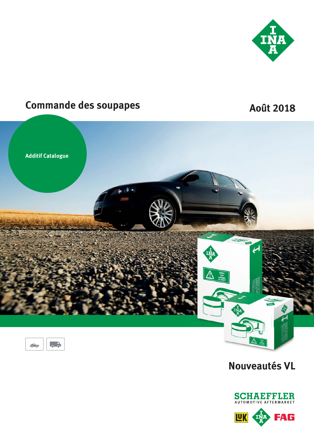

# **Commande des soupapes**

## **Août 2018**



 $\bullet$  $\widehat{\mathcal{C}}$ 

## **Nouveautés VL**

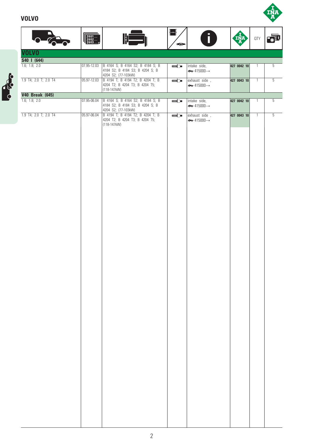### **VOLVO**

**BOOM** 



|                              | $\begin{bmatrix} 2001 \\ 2002 \\ 2003 \end{bmatrix}$ |                                                                                            | ┠╍╫            |                                                         | INA         | <b>QTY</b>     | 扉              |
|------------------------------|------------------------------------------------------|--------------------------------------------------------------------------------------------|----------------|---------------------------------------------------------|-------------|----------------|----------------|
| <b>VOLVO</b>                 |                                                      |                                                                                            | $\circledcirc$ |                                                         |             |                |                |
|                              |                                                      |                                                                                            |                |                                                         |             |                |                |
| S40   (644)<br>1.6; 1.8; 2.0 | 07.95-12.03                                          | B 4164 S; B 4164 S2; B 4184 S; B                                                           |                | intake side,                                            | 427 0042 10 | $\mathbf{1}$   | 5              |
|                              |                                                      | 4184 S2; B 4184 S3; B 4204 S; B<br>4204 S2; (77-103kW)                                     | $000$ $\Box$   | $\Leftrightarrow$ 415000 $\rightarrow$                  |             |                |                |
| 1.9 T4; 2.0 T; 2.0 T4        | 05.97-12.03                                          | B 4194 T; B 4194 T2; B 4204 T; B<br>4204 T2; B 4204 T3; B 4204 T5;                         | 000            | exhaust side,<br>$\Leftrightarrow$ 415000 $\rightarrow$ | 427 0043 10 | $\overline{1}$ | $\overline{5}$ |
| <b>V40 Break (645)</b>       |                                                      | $(118-147kW)$                                                                              |                |                                                         |             |                |                |
| 1.6; 1.8; 2.0                | 07.95-06.04                                          | B 4164 S; B 4164 S2; B 4184 S; B                                                           | $000$ $\Box$   | intake side,                                            | 427 0042 10 | $\mathbf{1}$   | 5              |
| 1.9 T4; 2.0 T; 2.0 T4        | 05.97-06.04                                          | 4184 S2; B 4184 S3; B 4204 S; B<br>4204 S2; (77-103kW)<br>B 4194 T; B 4194 T2; B 4204 T; B |                | $\Leftrightarrow$ 415000 $\rightarrow$                  |             |                |                |
|                              |                                                      | 4204 T2; B 4204 T3; B 4204 T5;<br>(118-147kW)                                              |                | $\leftrightarrow$ 415000 $\rightarrow$                  |             |                |                |
|                              |                                                      |                                                                                            |                |                                                         |             |                |                |
|                              |                                                      |                                                                                            |                |                                                         |             |                |                |
|                              |                                                      |                                                                                            |                |                                                         |             |                |                |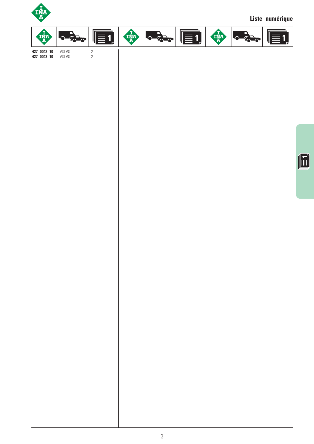

**427 0043 10** VOLVO 2

**Liste numérique**



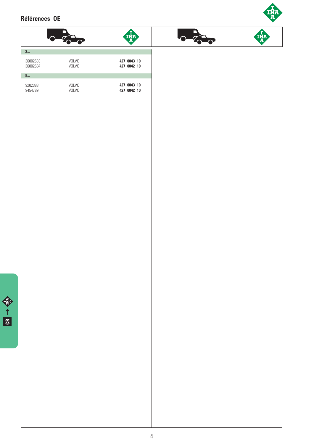### **Références OE**



|                      |                              | INA                        |
|----------------------|------------------------------|----------------------------|
| 3                    |                              |                            |
| 36002683<br>36002684 | <b>VOLVO</b><br><b>VOLVO</b> | 427 0043 10<br>427 0042 10 |
| 9                    |                              |                            |
| 9202388<br>9454789   | <b>VOLVO</b><br><b>VOLVO</b> | 427 0043 10<br>427 0042 10 |